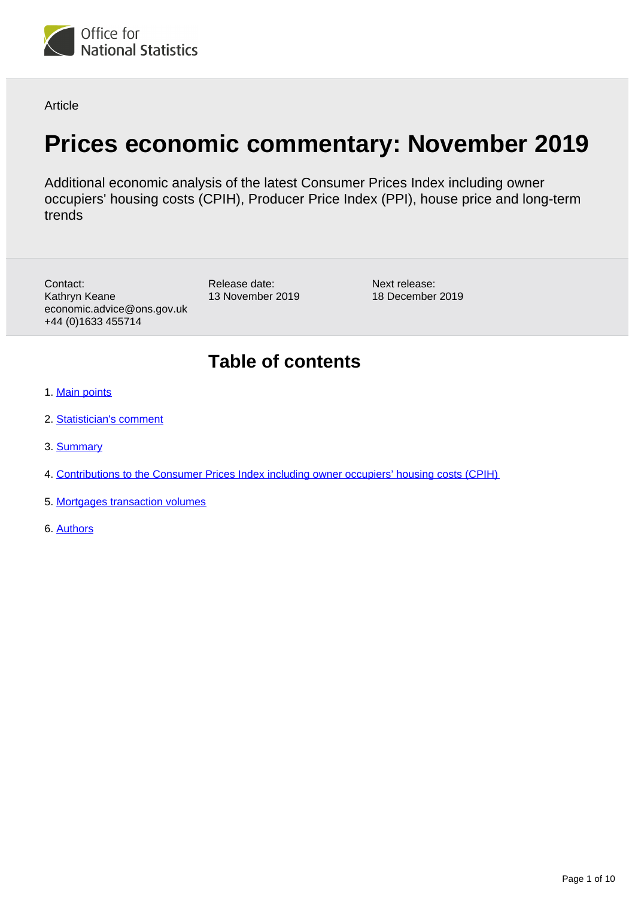

Article

# **Prices economic commentary: November 2019**

Additional economic analysis of the latest Consumer Prices Index including owner occupiers' housing costs (CPIH), Producer Price Index (PPI), house price and long-term trends

Contact: Kathryn Keane economic.advice@ons.gov.uk +44 (0)1633 455714

Release date: 13 November 2019 Next release: 18 December 2019

# **Table of contents**

- 1. [Main points](#page-1-0)
- 2. [Statistician's comment](#page-1-1)
- 3. [Summary](#page-1-2)
- 4. [Contributions to the Consumer Prices Index including owner occupiers' housing costs \(CPIH\)](#page-2-0)
- 5. [Mortgages transaction volumes](#page-7-0)
- 6. [Authors](#page-9-0)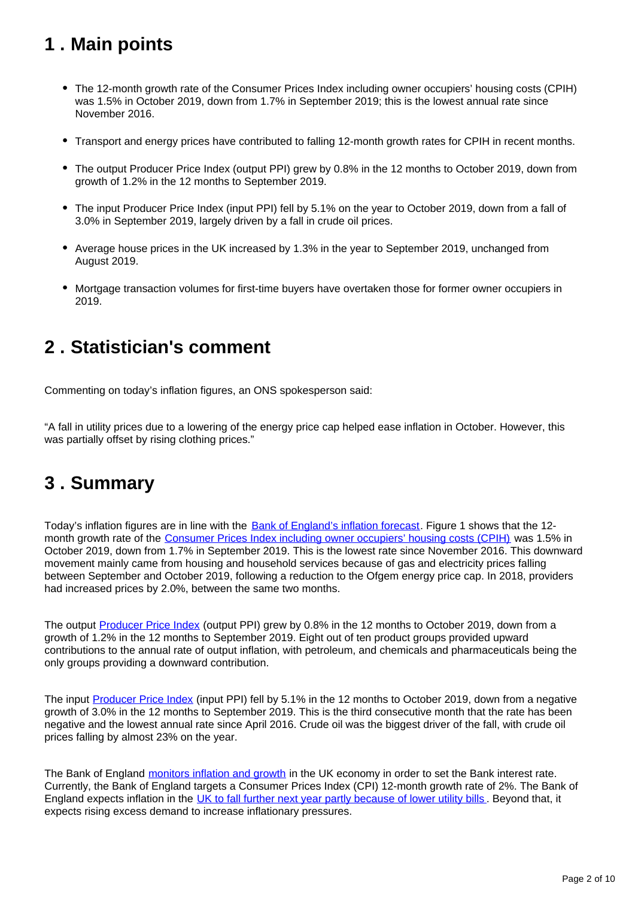# <span id="page-1-0"></span>**1 . Main points**

- The 12-month growth rate of the Consumer Prices Index including owner occupiers' housing costs (CPIH) was 1.5% in October 2019, down from 1.7% in September 2019; this is the lowest annual rate since November 2016.
- Transport and energy prices have contributed to falling 12-month growth rates for CPIH in recent months.
- The output Producer Price Index (output PPI) grew by 0.8% in the 12 months to October 2019, down from growth of 1.2% in the 12 months to September 2019.
- The input Producer Price Index (input PPI) fell by 5.1% on the year to October 2019, down from a fall of 3.0% in September 2019, largely driven by a fall in crude oil prices.
- Average house prices in the UK increased by 1.3% in the year to September 2019, unchanged from August 2019.
- Mortgage transaction volumes for first-time buyers have overtaken those for former owner occupiers in 2019.

### <span id="page-1-1"></span>**2 . Statistician's comment**

Commenting on today's inflation figures, an ONS spokesperson said:

"A fall in utility prices due to a lowering of the energy price cap helped ease inflation in October. However, this was partially offset by rising clothing prices."

# <span id="page-1-2"></span>**3 . Summary**

Today's inflation figures are in line with the [Bank of England's inflation forecast](https://www.bankofengland.co.uk/monetary-policy-report/2019/november-2019/the-economic-outlook). Figure 1 shows that the 12-month growth rate of the [Consumer Prices Index including owner occupiers' housing costs \(CPIH\)](https://www.ons.gov.uk/releases/ukconsumerpriceinflationoctober2019) was 1.5% in October 2019, down from 1.7% in September 2019. This is the lowest rate since November 2016. This downward movement mainly came from housing and household services because of gas and electricity prices falling between September and October 2019, following a reduction to the Ofgem energy price cap. In 2018, providers had increased prices by 2.0%, between the same two months.

The output [Producer Price Index](https://www.ons.gov.uk/releases/producerpriceinflationukoctober2019) (output PPI) grew by 0.8% in the 12 months to October 2019, down from a growth of 1.2% in the 12 months to September 2019. Eight out of ten product groups provided upward contributions to the annual rate of output inflation, with petroleum, and chemicals and pharmaceuticals being the only groups providing a downward contribution.

The input [Producer Price Index](https://www.ons.gov.uk/releases/producerpriceinflationukoctober2019) (input PPI) fell by 5.1% in the 12 months to October 2019, down from a negative growth of 3.0% in the 12 months to September 2019. This is the third consecutive month that the rate has been negative and the lowest annual rate since April 2016. Crude oil was the biggest driver of the fall, with crude oil prices falling by almost 23% on the year.

The Bank of England [monitors inflation and growth](https://www.bankofengland.co.uk/inflation-report/inflation-reports) in the UK economy in order to set the Bank interest rate. Currently, the Bank of England targets a Consumer Prices Index (CPI) 12-month growth rate of 2%. The Bank of England expects inflation in the [UK to fall further next year partly because of lower utility bills](https://www.bankofengland.co.uk/monetary-policy-report/2019/november-2019/the-economic-outlook). Beyond that, it expects rising excess demand to increase inflationary pressures.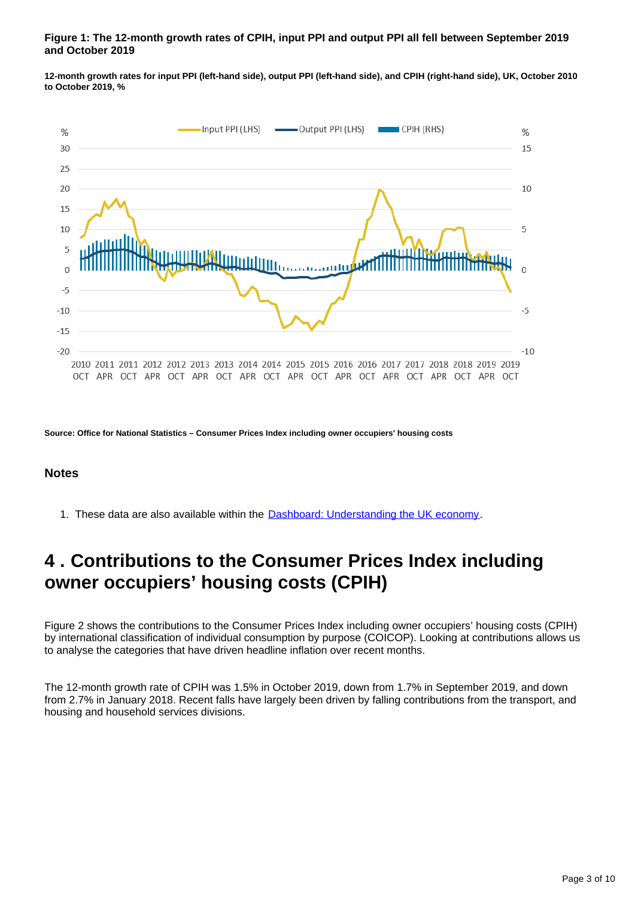#### **Figure 1: The 12-month growth rates of CPIH, input PPI and output PPI all fell between September 2019 and October 2019**

**12-month growth rates for input PPI (left-hand side), output PPI (left-hand side), and CPIH (right-hand side), UK, October 2010 to October 2019, %**



**Source: Office for National Statistics – Consumer Prices Index including owner occupiers' housing costs**

#### **Notes**

1. These data are also available within the **[Dashboard: Understanding the UK economy](https://www.ons.gov.uk/economy/nationalaccounts/articles/dashboardunderstandingtheukeconomy/2017-02-22)**.

### <span id="page-2-0"></span>**4 . Contributions to the Consumer Prices Index including owner occupiers' housing costs (CPIH)**

Figure 2 shows the contributions to the Consumer Prices Index including owner occupiers' housing costs (CPIH) by international classification of individual consumption by purpose (COICOP). Looking at contributions allows us to analyse the categories that have driven headline inflation over recent months.

The 12-month growth rate of CPIH was 1.5% in October 2019, down from 1.7% in September 2019, and down from 2.7% in January 2018. Recent falls have largely been driven by falling contributions from the transport, and housing and household services divisions.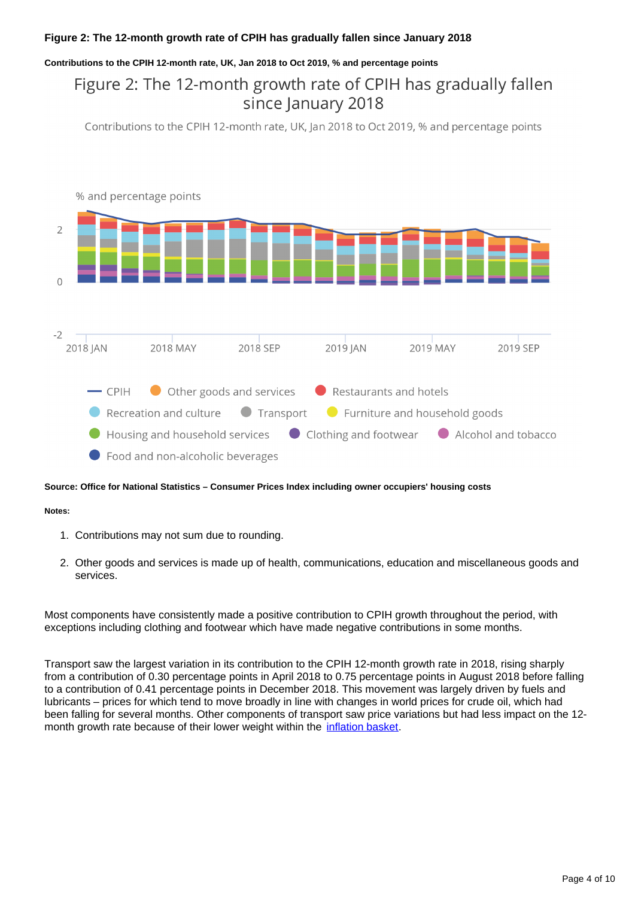#### **Figure 2: The 12-month growth rate of CPIH has gradually fallen since January 2018**

#### **Contributions to the CPIH 12-month rate, UK, Jan 2018 to Oct 2019, % and percentage points**

### Figure 2: The 12-month growth rate of CPIH has gradually fallen since January 2018

Contributions to the CPIH 12-month rate, UK, Jan 2018 to Oct 2019, % and percentage points



#### **Source: Office for National Statistics – Consumer Prices Index including owner occupiers' housing costs**

#### **Notes:**

- 1. Contributions may not sum due to rounding.
- 2. Other goods and services is made up of health, communications, education and miscellaneous goods and services.

Most components have consistently made a positive contribution to CPIH growth throughout the period, with exceptions including clothing and footwear which have made negative contributions in some months.

Transport saw the largest variation in its contribution to the CPIH 12-month growth rate in 2018, rising sharply from a contribution of 0.30 percentage points in April 2018 to 0.75 percentage points in August 2018 before falling to a contribution of 0.41 percentage points in December 2018. This movement was largely driven by fuels and lubricants – prices for which tend to move broadly in line with changes in world prices for crude oil, which had been falling for several months. Other components of transport saw price variations but had less impact on the 12 month growth rate because of their lower weight within the *inflation basket*.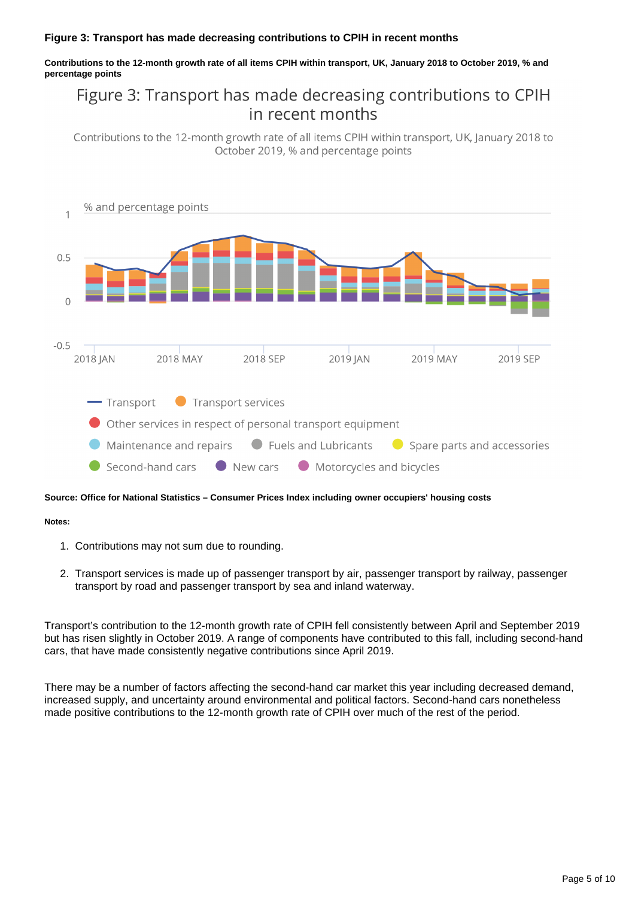#### **Figure 3: Transport has made decreasing contributions to CPIH in recent months**

**Contributions to the 12-month growth rate of all items CPIH within transport, UK, January 2018 to October 2019, % and percentage points**

### Figure 3: Transport has made decreasing contributions to CPIH in recent months

Contributions to the 12-month growth rate of all items CPIH within transport, UK, January 2018 to October 2019, % and percentage points



#### **Source: Office for National Statistics – Consumer Prices Index including owner occupiers' housing costs**

#### **Notes:**

- 1. Contributions may not sum due to rounding.
- 2. Transport services is made up of passenger transport by air, passenger transport by railway, passenger transport by road and passenger transport by sea and inland waterway.

Transport's contribution to the 12-month growth rate of CPIH fell consistently between April and September 2019 but has risen slightly in October 2019. A range of components have contributed to this fall, including second-hand cars, that have made consistently negative contributions since April 2019.

There may be a number of factors affecting the second-hand car market this year including decreased demand, increased supply, and uncertainty around environmental and political factors. Second-hand cars nonetheless made positive contributions to the 12-month growth rate of CPIH over much of the rest of the period.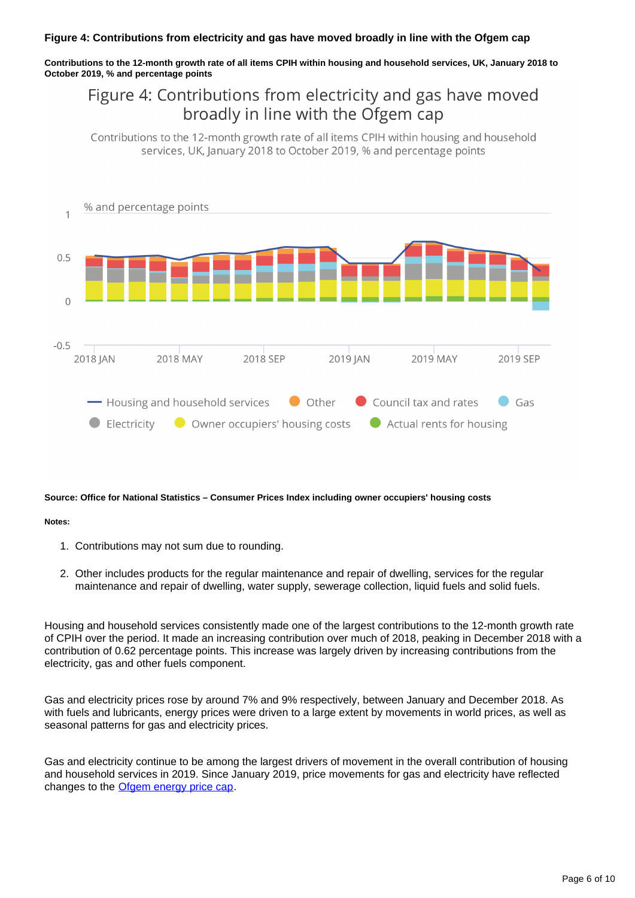#### **Figure 4: Contributions from electricity and gas have moved broadly in line with the Ofgem cap**

**Contributions to the 12-month growth rate of all items CPIH within housing and household services, UK, January 2018 to October 2019, % and percentage points**

### Figure 4: Contributions from electricity and gas have moved broadly in line with the Ofgem cap

Contributions to the 12-month growth rate of all items CPIH within housing and household services, UK, January 2018 to October 2019, % and percentage points



#### **Source: Office for National Statistics – Consumer Prices Index including owner occupiers' housing costs**

#### **Notes:**

- 1. Contributions may not sum due to rounding.
- 2. Other includes products for the regular maintenance and repair of dwelling, services for the regular maintenance and repair of dwelling, water supply, sewerage collection, liquid fuels and solid fuels.

Housing and household services consistently made one of the largest contributions to the 12-month growth rate of CPIH over the period. It made an increasing contribution over much of 2018, peaking in December 2018 with a contribution of 0.62 percentage points. This increase was largely driven by increasing contributions from the electricity, gas and other fuels component.

Gas and electricity prices rose by around 7% and 9% respectively, between January and December 2018. As with fuels and lubricants, energy prices were driven to a large extent by movements in world prices, as well as seasonal patterns for gas and electricity prices.

Gas and electricity continue to be among the largest drivers of movement in the overall contribution of housing and household services in 2019. Since January 2019, price movements for gas and electricity have reflected changes to the **[Ofgem energy price cap](https://www.ons.gov.uk/economy/inflationandpriceindices/articles/priceseconomiccommentary/february2019)**.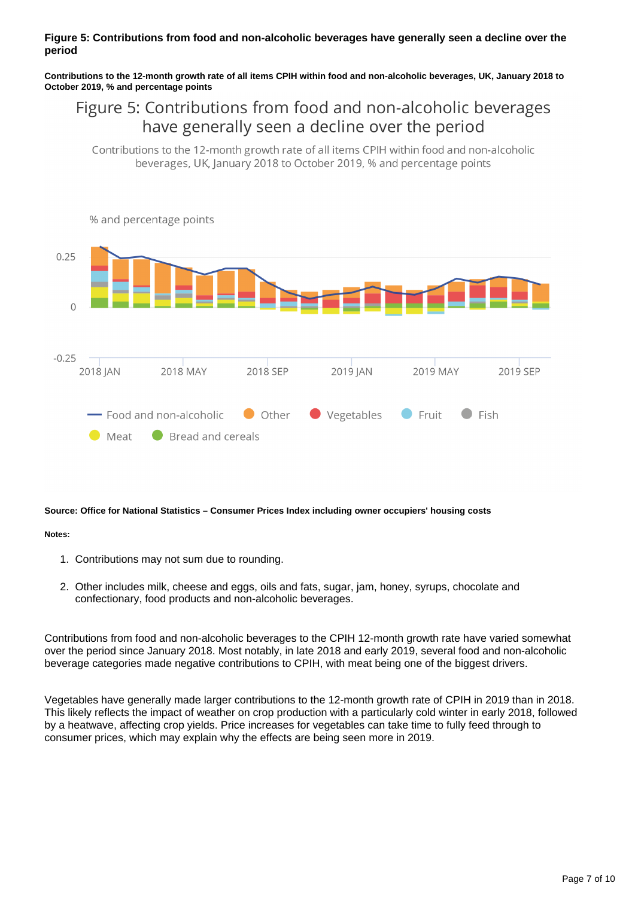#### **Figure 5: Contributions from food and non-alcoholic beverages have generally seen a decline over the period**

**Contributions to the 12-month growth rate of all items CPIH within food and non-alcoholic beverages, UK, January 2018 to October 2019, % and percentage points**

### Figure 5: Contributions from food and non-alcoholic beverages have generally seen a decline over the period

Contributions to the 12-month growth rate of all items CPIH within food and non-alcoholic beverages, UK, January 2018 to October 2019, % and percentage points



**Source: Office for National Statistics – Consumer Prices Index including owner occupiers' housing costs**

#### **Notes:**

- 1. Contributions may not sum due to rounding.
- 2. Other includes milk, cheese and eggs, oils and fats, sugar, jam, honey, syrups, chocolate and confectionary, food products and non-alcoholic beverages.

Contributions from food and non-alcoholic beverages to the CPIH 12-month growth rate have varied somewhat over the period since January 2018. Most notably, in late 2018 and early 2019, several food and non-alcoholic beverage categories made negative contributions to CPIH, with meat being one of the biggest drivers.

Vegetables have generally made larger contributions to the 12-month growth rate of CPIH in 2019 than in 2018. This likely reflects the impact of weather on crop production with a particularly cold winter in early 2018, followed by a heatwave, affecting crop yields. Price increases for vegetables can take time to fully feed through to consumer prices, which may explain why the effects are being seen more in 2019.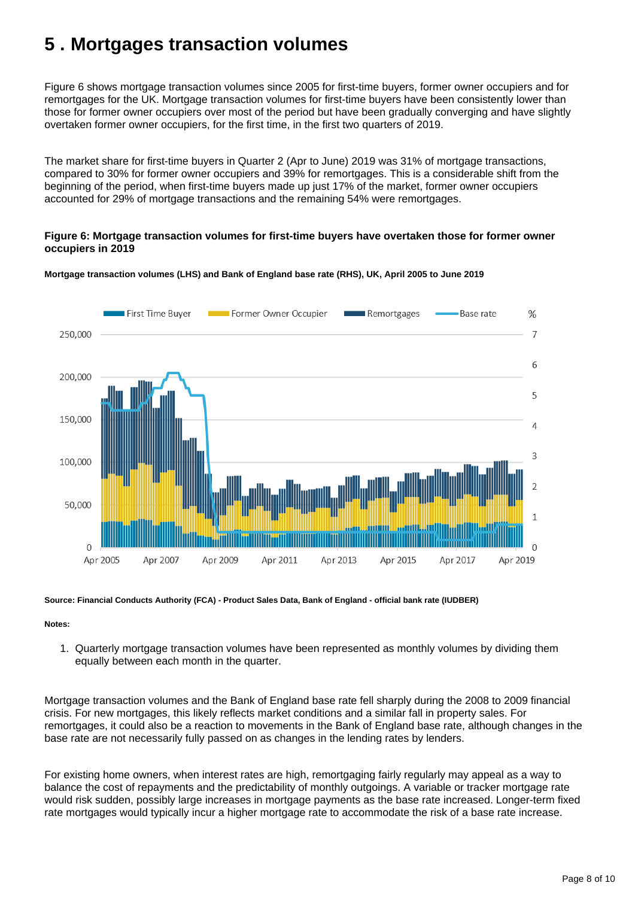# <span id="page-7-0"></span>**5 . Mortgages transaction volumes**

Figure 6 shows mortgage transaction volumes since 2005 for first-time buyers, former owner occupiers and for remortgages for the UK. Mortgage transaction volumes for first-time buyers have been consistently lower than those for former owner occupiers over most of the period but have been gradually converging and have slightly overtaken former owner occupiers, for the first time, in the first two quarters of 2019.

The market share for first-time buyers in Quarter 2 (Apr to June) 2019 was 31% of mortgage transactions, compared to 30% for former owner occupiers and 39% for remortgages. This is a considerable shift from the beginning of the period, when first-time buyers made up just 17% of the market, former owner occupiers accounted for 29% of mortgage transactions and the remaining 54% were remortgages.

#### **Figure 6: Mortgage transaction volumes for first-time buyers have overtaken those for former owner occupiers in 2019**





**Source: Financial Conducts Authority (FCA) - Product Sales Data, Bank of England - official bank rate (IUDBER)**

#### **Notes:**

1. Quarterly mortgage transaction volumes have been represented as monthly volumes by dividing them equally between each month in the quarter.

Mortgage transaction volumes and the Bank of England base rate fell sharply during the 2008 to 2009 financial crisis. For new mortgages, this likely reflects market conditions and a similar fall in property sales. For remortgages, it could also be a reaction to movements in the Bank of England base rate, although changes in the base rate are not necessarily fully passed on as changes in the lending rates by lenders.

For existing home owners, when interest rates are high, remortgaging fairly regularly may appeal as a way to balance the cost of repayments and the predictability of monthly outgoings. A variable or tracker mortgage rate would risk sudden, possibly large increases in mortgage payments as the base rate increased. Longer-term fixed rate mortgages would typically incur a higher mortgage rate to accommodate the risk of a base rate increase.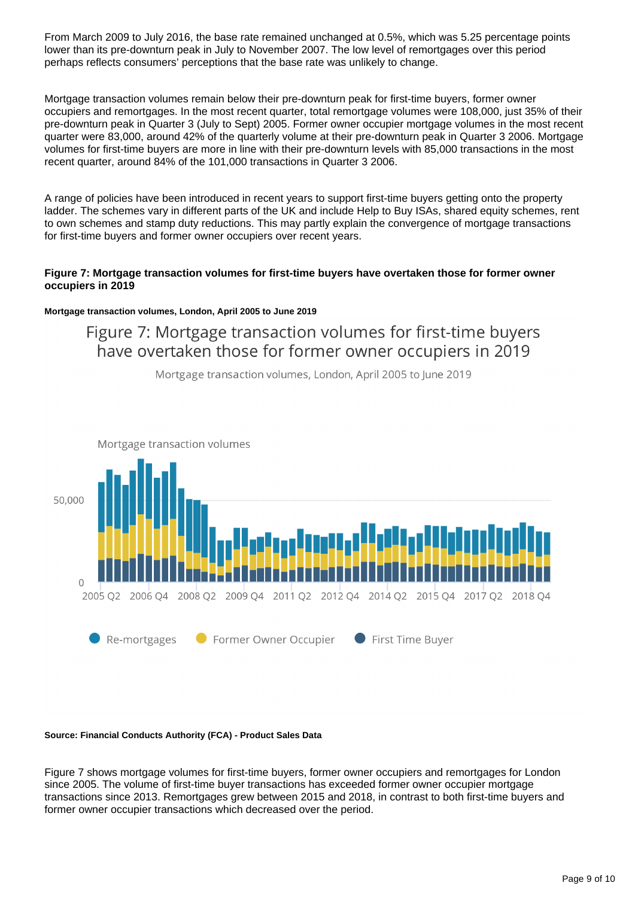From March 2009 to July 2016, the base rate remained unchanged at 0.5%, which was 5.25 percentage points lower than its pre-downturn peak in July to November 2007. The low level of remortgages over this period perhaps reflects consumers' perceptions that the base rate was unlikely to change.

Mortgage transaction volumes remain below their pre-downturn peak for first-time buyers, former owner occupiers and remortgages. In the most recent quarter, total remortgage volumes were 108,000, just 35% of their pre-downturn peak in Quarter 3 (July to Sept) 2005. Former owner occupier mortgage volumes in the most recent quarter were 83,000, around 42% of the quarterly volume at their pre-downturn peak in Quarter 3 2006. Mortgage volumes for first-time buyers are more in line with their pre-downturn levels with 85,000 transactions in the most recent quarter, around 84% of the 101,000 transactions in Quarter 3 2006.

A range of policies have been introduced in recent years to support first-time buyers getting onto the property ladder. The schemes vary in different parts of the UK and include Help to Buy ISAs, shared equity schemes, rent to own schemes and stamp duty reductions. This may partly explain the convergence of mortgage transactions for first-time buyers and former owner occupiers over recent years.

#### **Figure 7: Mortgage transaction volumes for first-time buyers have overtaken those for former owner occupiers in 2019**

#### **Mortgage transaction volumes, London, April 2005 to June 2019**

Figure 7: Mortgage transaction volumes for first-time buyers have overtaken those for former owner occupiers in 2019

Mortgage transaction volumes, London, April 2005 to June 2019



Mortgage transaction volumes

#### **Source: Financial Conducts Authority (FCA) - Product Sales Data**

Figure 7 shows mortgage volumes for first-time buyers, former owner occupiers and remortgages for London since 2005. The volume of first-time buyer transactions has exceeded former owner occupier mortgage transactions since 2013. Remortgages grew between 2015 and 2018, in contrast to both first-time buyers and former owner occupier transactions which decreased over the period.